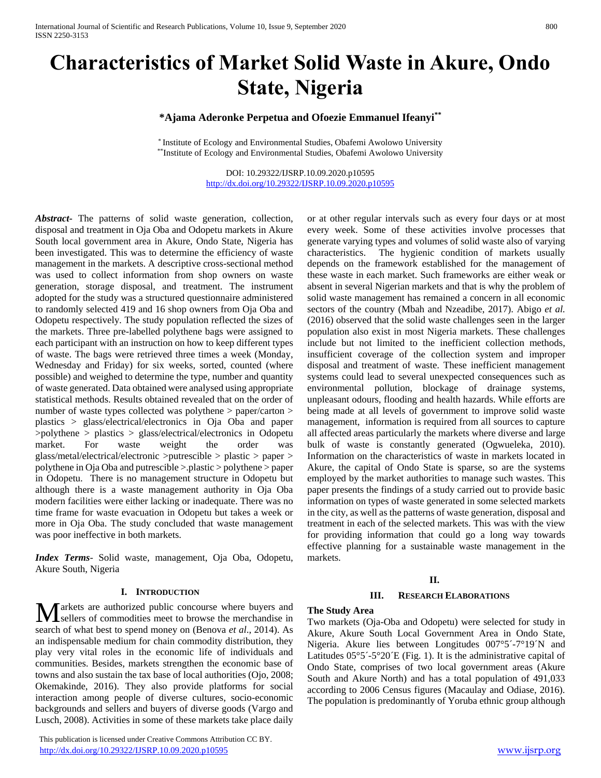# **Characteristics of Market Solid Waste in Akure, Ondo State, Nigeria**

# **\*Ajama Aderonke Perpetua and Ofoezie Emmanuel Ifeanyi\*\***

\* Institute of Ecology and Environmental Studies, Obafemi Awolowo University \*\*Institute of Ecology and Environmental Studies, Obafemi Awolowo University

> DOI: 10.29322/IJSRP.10.09.2020.p10595 <http://dx.doi.org/10.29322/IJSRP.10.09.2020.p10595>

*Abstract***-** The patterns of solid waste generation, collection, disposal and treatment in Oja Oba and Odopetu markets in Akure South local government area in Akure, Ondo State, Nigeria has been investigated. This was to determine the efficiency of waste management in the markets. A descriptive cross-sectional method was used to collect information from shop owners on waste generation, storage disposal, and treatment. The instrument adopted for the study was a structured questionnaire administered to randomly selected 419 and 16 shop owners from Oja Oba and Odopetu respectively. The study population reflected the sizes of the markets. Three pre-labelled polythene bags were assigned to each participant with an instruction on how to keep different types of waste. The bags were retrieved three times a week (Monday, Wednesday and Friday) for six weeks, sorted, counted (where possible) and weighed to determine the type, number and quantity of waste generated. Data obtained were analysed using appropriate statistical methods. Results obtained revealed that on the order of number of waste types collected was polythene > paper/carton > plastics > glass/electrical/electronics in Oja Oba and paper >polythene > plastics > glass/electrical/electronics in Odopetu market. For waste weight the order was glass/metal/electrical/electronic >putrescible > plastic > paper > polythene in Oja Oba and putrescible >.plastic > polythene > paper in Odopetu. There is no management structure in Odopetu but although there is a waste management authority in Oja Oba modern facilities were either lacking or inadequate. There was no time frame for waste evacuation in Odopetu but takes a week or more in Oja Oba. The study concluded that waste management was poor ineffective in both markets.

*Index Terms*- Solid waste, management, Oja Oba, Odopetu, Akure South, Nigeria

#### **I. INTRODUCTION**

arkets are authorized public concourse where buyers and **M** arkets are authorized public concourse where buyers and sellers of commodities meet to browse the merchandise in search of what best to spend money on (Benova *et al*., 2014). As an indispensable medium for chain commodity distribution, they play very vital roles in the economic life of individuals and communities. Besides, markets strengthen the economic base of towns and also sustain the tax base of local authorities (Ojo, 2008; Okemakinde, 2016). They also provide platforms for social interaction among people of diverse cultures, socio-economic backgrounds and sellers and buyers of diverse goods (Vargo and Lusch, 2008). Activities in some of these markets take place daily

 This publication is licensed under Creative Commons Attribution CC BY. <http://dx.doi.org/10.29322/IJSRP.10.09.2020.p10595> [www.ijsrp.org](http://ijsrp.org/)

or at other regular intervals such as every four days or at most every week. Some of these activities involve processes that generate varying types and volumes of solid waste also of varying characteristics. The hygienic condition of markets usually depends on the framework established for the management of these waste in each market. Such frameworks are either weak or absent in several Nigerian markets and that is why the problem of solid waste management has remained a concern in all economic sectors of the country (Mbah and Nzeadibe, 2017). Abigo *et al.* (2016) observed that the solid waste challenges seen in the larger population also exist in most Nigeria markets. These challenges include but not limited to the inefficient collection methods, insufficient coverage of the collection system and improper disposal and treatment of waste. These inefficient management systems could lead to several unexpected consequences such as environmental pollution, blockage of drainage systems, unpleasant odours, flooding and health hazards. While efforts are being made at all levels of government to improve solid waste management, information is required from all sources to capture all affected areas particularly the markets where diverse and large bulk of waste is constantly generated (Ogwueleka, 2010). Information on the characteristics of waste in markets located in Akure, the capital of Ondo State is sparse, so are the systems employed by the market authorities to manage such wastes. This paper presents the findings of a study carried out to provide basic information on types of waste generated in some selected markets in the city, as well as the patterns of waste generation, disposal and treatment in each of the selected markets. This was with the view for providing information that could go a long way towards effective planning for a sustainable waste management in the markets.

#### **II.**

#### **III. RESEARCH ELABORATIONS**

#### **The Study Area**

Two markets (Oja-Oba and Odopetu) were selected for study in Akure, Akure South Local Government Area in Ondo State, Nigeria. Akure lies between Longitudes 007°5´-7°19´N and Latitudes  $05^{\circ}5^{\prime}$ -5°20<sup> $\prime$ </sup>E (Fig. 1). It is the administrative capital of Ondo State, comprises of two local government areas (Akure South and Akure North) and has a total population of 491,033 according to 2006 Census figures (Macaulay and Odiase, 2016). The population is predominantly of Yoruba ethnic group although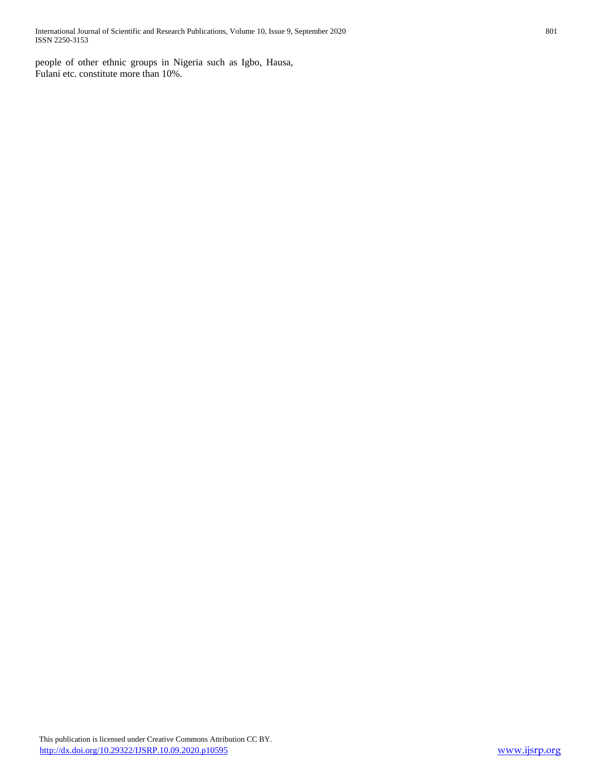people of other ethnic groups in Nigeria such as Igbo, Hausa, Fulani etc. constitute more than 10%.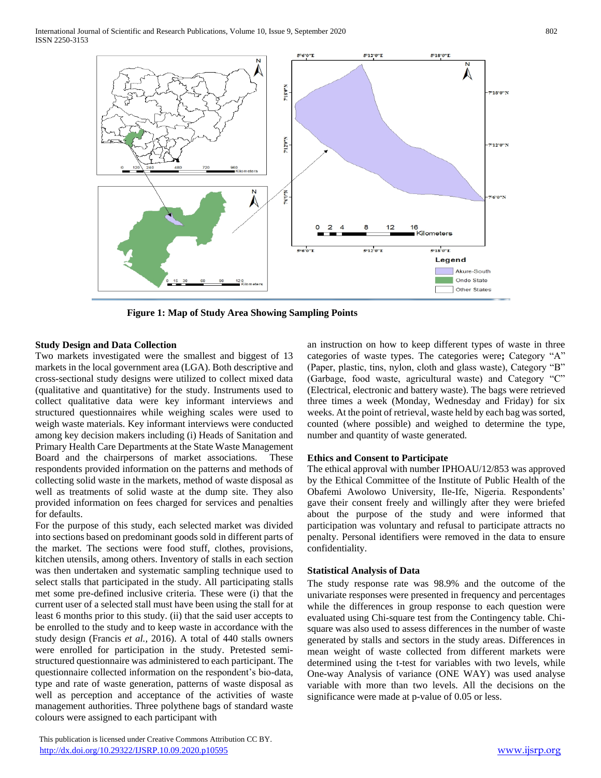

**Figure 1: Map of Study Area Showing Sampling Points**

# **Study Design and Data Collection**

Two markets investigated were the smallest and biggest of 13 markets in the local government area (LGA). Both descriptive and cross-sectional study designs were utilized to collect mixed data (qualitative and quantitative) for the study. Instruments used to collect qualitative data were key informant interviews and structured questionnaires while weighing scales were used to weigh waste materials. Key informant interviews were conducted among key decision makers including (i) Heads of Sanitation and Primary Health Care Departments at the State Waste Management Board and the chairpersons of market associations. These respondents provided information on the patterns and methods of collecting solid waste in the markets, method of waste disposal as well as treatments of solid waste at the dump site. They also provided information on fees charged for services and penalties for defaults.

For the purpose of this study, each selected market was divided into sections based on predominant goods sold in different parts of the market. The sections were food stuff, clothes, provisions, kitchen utensils, among others. Inventory of stalls in each section was then undertaken and systematic sampling technique used to select stalls that participated in the study. All participating stalls met some pre-defined inclusive criteria. These were (i) that the current user of a selected stall must have been using the stall for at least 6 months prior to this study. (ii) that the said user accepts to be enrolled to the study and to keep waste in accordance with the study design (Francis *et al.,* 2016). A total of 440 stalls owners were enrolled for participation in the study. Pretested semistructured questionnaire was administered to each participant. The questionnaire collected information on the respondent's bio-data, type and rate of waste generation, patterns of waste disposal as well as perception and acceptance of the activities of waste management authorities. Three polythene bags of standard waste colours were assigned to each participant with

 This publication is licensed under Creative Commons Attribution CC BY. <http://dx.doi.org/10.29322/IJSRP.10.09.2020.p10595> [www.ijsrp.org](http://ijsrp.org/)

an instruction on how to keep different types of waste in three categories of waste types. The categories were**;** Category "A" (Paper, plastic, tins, nylon, cloth and glass waste), Category "B" (Garbage, food waste, agricultural waste) and Category "C" (Electrical, electronic and battery waste). The bags were retrieved three times a week (Monday, Wednesday and Friday) for six weeks. At the point of retrieval, waste held by each bag was sorted, counted (where possible) and weighed to determine the type, number and quantity of waste generated.

# **Ethics and Consent to Participate**

The ethical approval with number IPHOAU/12/853 was approved by the Ethical Committee of the Institute of Public Health of the Obafemi Awolowo University, Ile-Ife, Nigeria. Respondents' gave their consent freely and willingly after they were briefed about the purpose of the study and were informed that participation was voluntary and refusal to participate attracts no penalty. Personal identifiers were removed in the data to ensure confidentiality.

# **Statistical Analysis of Data**

The study response rate was 98.9% and the outcome of the univariate responses were presented in frequency and percentages while the differences in group response to each question were evaluated using Chi-square test from the Contingency table. Chisquare was also used to assess differences in the number of waste generated by stalls and sectors in the study areas. Differences in mean weight of waste collected from different markets were determined using the t-test for variables with two levels, while One-way Analysis of variance (ONE WAY) was used analyse variable with more than two levels. All the decisions on the significance were made at p-value of 0.05 or less.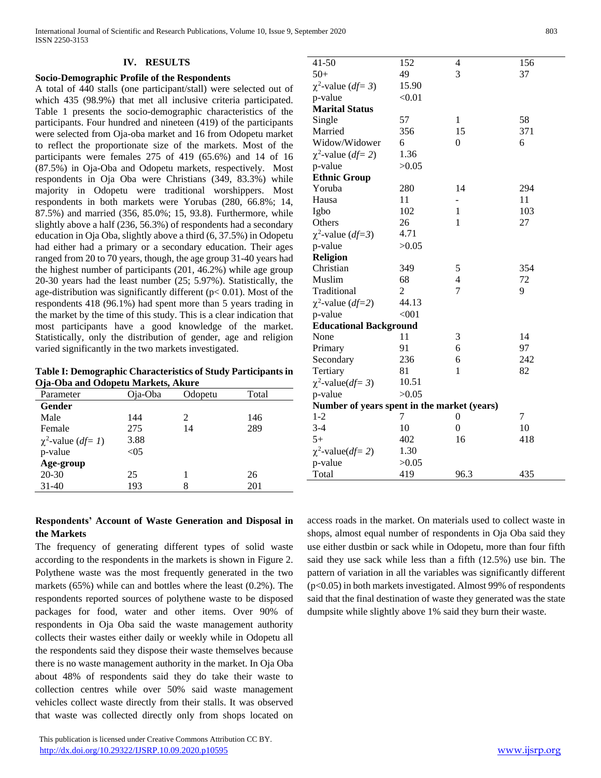#### **IV. RESULTS**

#### **Socio-Demographic Profile of the Respondents**

A total of 440 stalls (one participant/stall) were selected out of which 435 (98.9%) that met all inclusive criteria participated. Table 1 presents the socio-demographic characteristics of the participants. Four hundred and nineteen (419) of the participants were selected from Oja-oba market and 16 from Odopetu market to reflect the proportionate size of the markets. Most of the participants were females 275 of 419 (65.6%) and 14 of 16 (87.5%) in Oja-Oba and Odopetu markets, respectively. Most respondents in Oja Oba were Christians (349, 83.3%) while majority in Odopetu were traditional worshippers. Most respondents in both markets were Yorubas (280, 66.8%; 14, 87.5%) and married (356, 85.0%; 15, 93.8). Furthermore, while slightly above a half (236, 56.3%) of respondents had a secondary education in Oja Oba, slightly above a third (6, 37.5%) in Odopetu had either had a primary or a secondary education. Their ages ranged from 20 to 70 years, though, the age group 31-40 years had the highest number of participants (201, 46.2%) while age group 20-30 years had the least number (25; 5.97%). Statistically, the age-distribution was significantly different ( $p$ < 0.01). Most of the respondents 418 (96.1%) had spent more than 5 years trading in the market by the time of this study. This is a clear indication that most participants have a good knowledge of the market. Statistically, only the distribution of gender, age and religion varied significantly in the two markets investigated.

**Table I: Demographic Characteristics of Study Participants in Oja-Oba and Odopetu Markets, Akure**

| Parameter                        | Oja-Oba | Odopetu | Total |
|----------------------------------|---------|---------|-------|
| Gender                           |         |         |       |
| Male                             | 144     | 2       | 146   |
| Female                           | 275     | 14      | 289   |
| $\chi^2$ -value ( <i>df</i> = 1) | 3.88    |         |       |
| p-value                          | < 05    |         |       |
| Age-group                        |         |         |       |
| $20 - 30$                        | 25      |         | 26    |
| 31-40                            | 193     | 8       | 201   |

| Respondents' Account of Waste Generation and Disposal in |  |  |  |  |
|----------------------------------------------------------|--|--|--|--|
| the Markets                                              |  |  |  |  |

The frequency of generating different types of solid waste according to the respondents in the markets is shown in Figure 2. Polythene waste was the most frequently generated in the two markets (65%) while can and bottles where the least (0.2%). The respondents reported sources of polythene waste to be disposed packages for food, water and other items. Over 90% of respondents in Oja Oba said the waste management authority collects their wastes either daily or weekly while in Odopetu all the respondents said they dispose their waste themselves because there is no waste management authority in the market. In Oja Oba about 48% of respondents said they do take their waste to collection centres while over 50% said waste management vehicles collect waste directly from their stalls. It was observed that waste was collected directly only from shops located on

 This publication is licensed under Creative Commons Attribution CC BY. <http://dx.doi.org/10.29322/IJSRP.10.09.2020.p10595> [www.ijsrp.org](http://ijsrp.org/)

| $41 - 50$                                   | 152    | 4                        | 156 |
|---------------------------------------------|--------|--------------------------|-----|
| $50+$                                       | 49     | 3                        | 37  |
| $\chi^2$ -value ( <i>df</i> = 3)            | 15.90  |                          |     |
| p-value                                     | < 0.01 |                          |     |
| <b>Marital Status</b>                       |        |                          |     |
| Single                                      | 57     | $\mathbf{1}$             | 58  |
| Married                                     | 356    | 15                       | 371 |
| Widow/Widower                               | 6      | $\boldsymbol{0}$         | 6   |
| $\chi^2$ -value ( <i>df</i> = 2)            | 1.36   |                          |     |
| p-value                                     | >0.05  |                          |     |
| <b>Ethnic Group</b>                         |        |                          |     |
| Yoruba                                      | 280    | 14                       | 294 |
| Hausa                                       | 11     | $\overline{\phantom{0}}$ | 11  |
| Igbo                                        | 102    | $\mathbf{1}$             | 103 |
| Others                                      | 26     | $\mathbf{1}$             | 27  |
| $\chi^2$ -value ( <i>df</i> =3)             | 4.71   |                          |     |
| p-value                                     | >0.05  |                          |     |
| <b>Religion</b>                             |        |                          |     |
| Christian                                   | 349    | 5                        | 354 |
| Muslim                                      | 68     | $\overline{\mathcal{L}}$ | 72  |
| Traditional                                 | 2      | 7                        | 9   |
| $\chi^2$ -value ( <i>df</i> =2)             | 44.13  |                          |     |
| p-value                                     | < 001  |                          |     |
| <b>Educational Background</b>               |        |                          |     |
| None                                        | 11     | 3                        | 14  |
| Primary                                     | 91     | 6                        | 97  |
| Secondary                                   | 236    | 6                        | 242 |
| Tertiary                                    | 81     | $\mathbf{1}$             | 82  |
| $\chi^2$ -value( <i>df</i> = 3)             | 10.51  |                          |     |
| p-value                                     | >0.05  |                          |     |
| Number of years spent in the market (years) |        |                          |     |
| $1-2$                                       | 7      | 0                        | 7   |
| $3-4$                                       | 10     | $\overline{0}$           | 10  |
| $5+$                                        | 402    | 16                       | 418 |
| $\chi^2$ -value( <i>df</i> = 2)             | 1.30   |                          |     |
| p-value                                     | >0.05  |                          |     |
| Total                                       | 419    | 96.3                     | 435 |
|                                             |        |                          |     |

access roads in the market. On materials used to collect waste in shops, almost equal number of respondents in Oja Oba said they use either dustbin or sack while in Odopetu, more than four fifth said they use sack while less than a fifth (12.5%) use bin. The pattern of variation in all the variables was significantly different (p<0.05) in both markets investigated. Almost 99% of respondents said that the final destination of waste they generated was the state dumpsite while slightly above 1% said they burn their waste.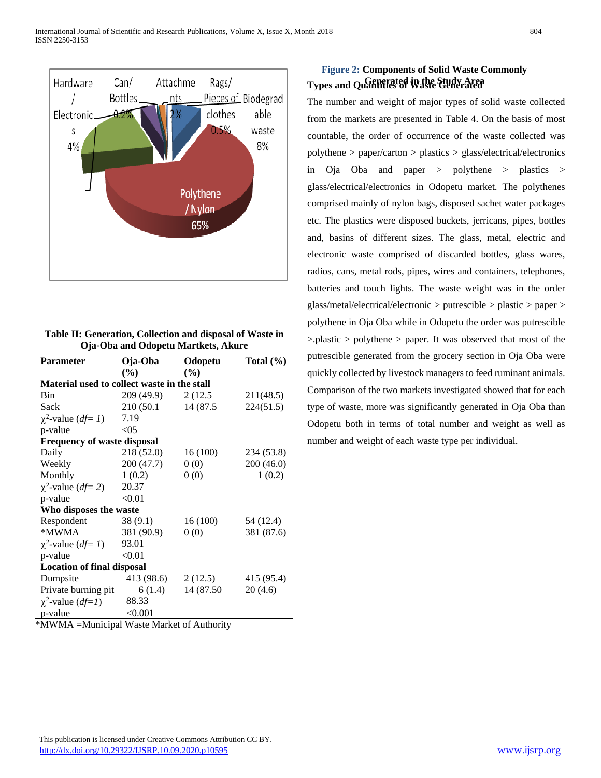

| Table II: Generation, Collection and disposal of Waste in |
|-----------------------------------------------------------|
| Oja-Oba and Odopetu Martkets, Akure                       |

| <b>Parameter</b>                            | Oja-Oba       | Odopetu    | Total $(\% )$ |  |  |  |  |  |
|---------------------------------------------|---------------|------------|---------------|--|--|--|--|--|
|                                             | $\frac{6}{2}$ | (%)        |               |  |  |  |  |  |
| Material used to collect waste in the stall |               |            |               |  |  |  |  |  |
| Bin                                         | 209 (49.9)    | 2 (12.5)   | 211(48.5)     |  |  |  |  |  |
| Sack                                        | 210 (50.1)    | 14 (87.5)  | 224(51.5)     |  |  |  |  |  |
| $\chi^2$ -value ( <i>df</i> = 1)            | 7.19          |            |               |  |  |  |  |  |
| p-value                                     | < 05          |            |               |  |  |  |  |  |
| <b>Frequency of waste disposal</b>          |               |            |               |  |  |  |  |  |
| Daily                                       | 218 (52.0)    | 16(100)    | 234 (53.8)    |  |  |  |  |  |
| Weekly                                      | 200 (47.7)    | 0(0)       | 200(46.0)     |  |  |  |  |  |
| Monthly                                     | 1(0.2)        | 0(0)       | 1(0.2)        |  |  |  |  |  |
| $\chi^2$ -value ( <i>df</i> = 2)            | 20.37         |            |               |  |  |  |  |  |
| p-value                                     | < 0.01        |            |               |  |  |  |  |  |
| Who disposes the waste                      |               |            |               |  |  |  |  |  |
| Respondent                                  | 38(9.1)       | 16(100)    | 54 (12.4)     |  |  |  |  |  |
| *MWMA                                       | 381 (90.9)    | 0(0)       | 381 (87.6)    |  |  |  |  |  |
| $\chi^2$ -value ( <i>df</i> = 1)            | 93.01         |            |               |  |  |  |  |  |
| p-value                                     | < 0.01        |            |               |  |  |  |  |  |
| <b>Location of final disposal</b>           |               |            |               |  |  |  |  |  |
| Dumpsite                                    | 413 (98.6)    | 2(12.5)    | 415 (95.4)    |  |  |  |  |  |
| Private burning pit                         | 6(1.4)        | 14 (87.50) | 20(4.6)       |  |  |  |  |  |
| $\chi^2$ -value ( <i>df=1</i> )             | 88.33         |            |               |  |  |  |  |  |
| p-value                                     | < 0.001       |            |               |  |  |  |  |  |

\*MWMA =Municipal Waste Market of Authority

# **Types and Quantities of Waste Generated Generated in the Study AreaFigure 2: Components of Solid Waste Commonly**

The number and weight of major types of solid waste collected from the markets are presented in Table 4. On the basis of most countable, the order of occurrence of the waste collected was polythene > paper/carton > plastics > glass/electrical/electronics in Oja Oba and paper > polythene > plastics > glass/electrical/electronics in Odopetu market. The polythenes comprised mainly of nylon bags, disposed sachet water packages etc. The plastics were disposed buckets, jerricans, pipes, bottles and, basins of different sizes. The glass, metal, electric and electronic waste comprised of discarded bottles, glass wares, radios, cans, metal rods, pipes, wires and containers, telephones, batteries and touch lights. The waste weight was in the order glass/metal/electrical/electronic > putrescible > plastic > paper > polythene in Oja Oba while in Odopetu the order was putrescible >.plastic > polythene > paper. It was observed that most of the putrescible generated from the grocery section in Oja Oba were quickly collected by livestock managers to feed ruminant animals. Comparison of the two markets investigated showed that for each type of waste, more was significantly generated in Oja Oba than Odopetu both in terms of total number and weight as well as number and weight of each waste type per individual.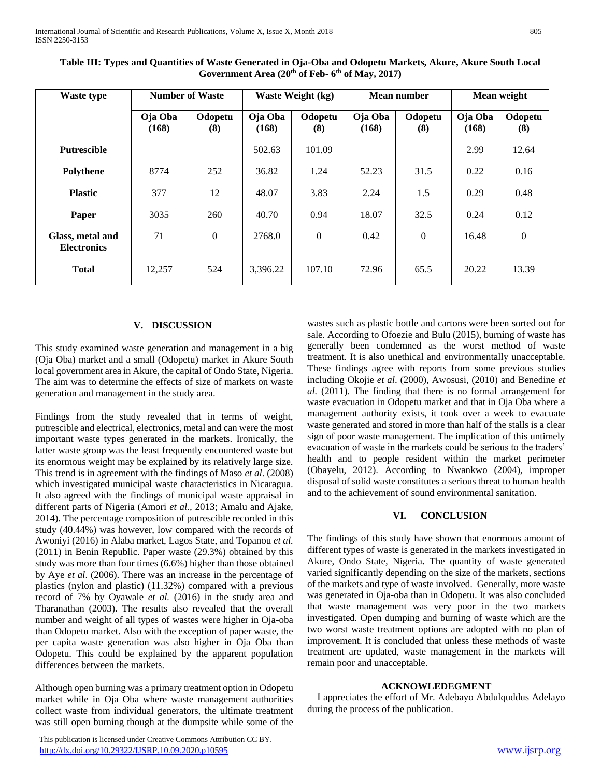| Waste type                             | <b>Number of Waste</b> |                | <b>Waste Weight (kg)</b> |                | Mean number      |                | Mean weight      |                |
|----------------------------------------|------------------------|----------------|--------------------------|----------------|------------------|----------------|------------------|----------------|
|                                        | Oja Oba<br>(168)       | Odopetu<br>(8) | Oja Oba<br>(168)         | Odopetu<br>(8) | Oja Oba<br>(168) | Odopetu<br>(8) | Oja Oba<br>(168) | Odopetu<br>(8) |
| <b>Putrescible</b>                     |                        |                | 502.63                   | 101.09         |                  |                | 2.99             | 12.64          |
| <b>Polythene</b>                       | 8774                   | 252            | 36.82                    | 1.24           | 52.23            | 31.5           | 0.22             | 0.16           |
| <b>Plastic</b>                         | 377                    | 12             | 48.07                    | 3.83           | 2.24             | 1.5            | 0.29             | 0.48           |
| Paper                                  | 3035                   | 260            | 40.70                    | 0.94           | 18.07            | 32.5           | 0.24             | 0.12           |
| Glass, metal and<br><b>Electronics</b> | 71                     | $\theta$       | 2768.0                   | $\Omega$       | 0.42             | $\Omega$       | 16.48            | $\Omega$       |
| <b>Total</b>                           | 12,257                 | 524            | 3,396.22                 | 107.10         | 72.96            | 65.5           | 20.22            | 13.39          |

**Table III: Types and Quantities of Waste Generated in Oja-Oba and Odopetu Markets, Akure, Akure South Local Government Area (20th of Feb- 6 th of May, 2017)**

# **V. DISCUSSION**

This study examined waste generation and management in a big (Oja Oba) market and a small (Odopetu) market in Akure South local government area in Akure, the capital of Ondo State, Nigeria. The aim was to determine the effects of size of markets on waste generation and management in the study area.

Findings from the study revealed that in terms of weight, putrescible and electrical, electronics, metal and can were the most important waste types generated in the markets. Ironically, the latter waste group was the least frequently encountered waste but its enormous weight may be explained by its relatively large size. This trend is in agreement with the findings of Maso *et al*. (2008) which investigated municipal waste characteristics in Nicaragua. It also agreed with the findings of municipal waste appraisal in different parts of Nigeria (Amori *et al.,* 2013; Amalu and Ajake, 2014). The percentage composition of putrescible recorded in this study (40.44%) was however, low compared with the records of Awoniyi (2016) in Alaba market, Lagos State, and Topanou *et al.* (2011) in Benin Republic. Paper waste (29.3%) obtained by this study was more than four times (6.6%) higher than those obtained by Aye *et al*. (2006). There was an increase in the percentage of plastics (nylon and plastic) (11.32%) compared with a previous record of 7% by Oyawale *et al.* (2016) in the study area and Tharanathan (2003). The results also revealed that the overall number and weight of all types of wastes were higher in Oja-oba than Odopetu market. Also with the exception of paper waste, the per capita waste generation was also higher in Oja Oba than Odopetu. This could be explained by the apparent population differences between the markets.

Although open burning was a primary treatment option in Odopetu market while in Oja Oba where waste management authorities collect waste from individual generators, the ultimate treatment was still open burning though at the dumpsite while some of the

 This publication is licensed under Creative Commons Attribution CC BY. <http://dx.doi.org/10.29322/IJSRP.10.09.2020.p10595> [www.ijsrp.org](http://ijsrp.org/)

wastes such as plastic bottle and cartons were been sorted out for sale. According to Ofoezie and Bulu (2015), burning of waste has generally been condemned as the worst method of waste treatment. It is also unethical and environmentally unacceptable. These findings agree with reports from some previous studies including Okojie *et al*. (2000), Awosusi, (2010) and Benedine *et al.* (2011). The finding that there is no formal arrangement for waste evacuation in Odopetu market and that in Oja Oba where a management authority exists, it took over a week to evacuate waste generated and stored in more than half of the stalls is a clear sign of poor waste management. The implication of this untimely evacuation of waste in the markets could be serious to the traders' health and to people resident within the market perimeter (Obayelu, 2012). According to Nwankwo (2004), improper disposal of solid waste constitutes a serious threat to human health and to the achievement of sound environmental sanitation.

# **VI. CONCLUSION**

The findings of this study have shown that enormous amount of different types of waste is generated in the markets investigated in Akure, Ondo State, Nigeria**.** The quantity of waste generated varied significantly depending on the size of the markets, sections of the markets and type of waste involved. Generally, more waste was generated in Oja-oba than in Odopetu. It was also concluded that waste management was very poor in the two markets investigated. Open dumping and burning of waste which are the two worst waste treatment options are adopted with no plan of improvement. It is concluded that unless these methods of waste treatment are updated, waste management in the markets will remain poor and unacceptable.

#### **ACKNOWLEDEGMENT**

I appreciates the effort of Mr. Adebayo Abdulquddus Adelayo during the process of the publication.